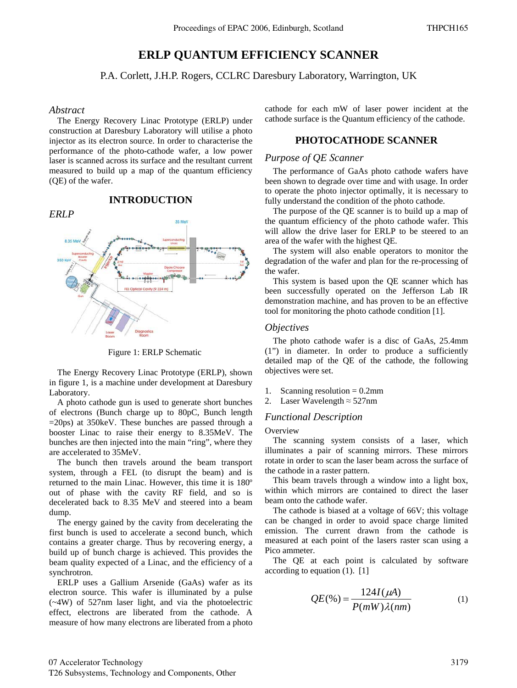# **ERLP QUANTUM EFFICIENCY SCANNER**

P.A. Corlett, J.H.P. Rogers, CCLRC Daresbury Laboratory, Warrington, UK

### *Abstract*

The Energy Recovery Linac Prototype (ERLP) under construction at Daresbury Laboratory will utilise a photo injector as its electron source. In order to characterise the performance of the photo-cathode wafer, a low power laser is scanned across its surface and the resultant current measured to build up a map of the quantum efficiency (QE) of the wafer.

## *ERLP*

## **INTRODUCTION**



Figure 1: ERLP Schematic

The Energy Recovery Linac Prototype (ERLP), shown in figure 1, is a machine under development at Daresbury Laboratory.

A photo cathode gun is used to generate short bunches of electrons (Bunch charge up to 80pC, Bunch length  $=20$ ps) at 350 keV. These bunches are passed through a booster Linac to raise their energy to 8.35MeV. The bunches are then injected into the main "ring", where they are accelerated to 35MeV.

The bunch then travels around the beam transport system, through a FEL (to disrupt the beam) and is returned to the main Linac. However, this time it is 180º out of phase with the cavity RF field, and so is decelerated back to 8.35 MeV and steered into a beam dump.

The energy gained by the cavity from decelerating the first bunch is used to accelerate a second bunch, which contains a greater charge. Thus by recovering energy, a build up of bunch charge is achieved. This provides the beam quality expected of a Linac, and the efficiency of a synchrotron.

ERLP uses a Gallium Arsenide (GaAs) wafer as its electron source. This wafer is illuminated by a pulse (~4W) of 527nm laser light, and via the photoelectric effect, electrons are liberated from the cathode. A measure of how many electrons are liberated from a photo cathode for each mW of laser power incident at the cathode surface is the Quantum efficiency of the cathode.

## **PHOTOCATHODE SCANNER**

#### *Purpose of QE Scanner*

The performance of GaAs photo cathode wafers have been shown to degrade over time and with usage. In order to operate the photo injector optimally, it is necessary to fully understand the condition of the photo cathode.

The purpose of the QE scanner is to build up a map of the quantum efficiency of the photo cathode wafer. This will allow the drive laser for ERLP to be steered to an area of the wafer with the highest QE.

The system will also enable operators to monitor the degradation of the wafer and plan for the re-processing of the wafer.

This system is based upon the QE scanner which has been successfully operated on the Jefferson Lab IR demonstration machine, and has proven to be an effective tool for monitoring the photo cathode condition [1].

#### *Objectives*

The photo cathode wafer is a disc of GaAs, 25.4mm (1") in diameter. In order to produce a sufficiently detailed map of the QE of the cathode, the following objectives were set.

- 1. Scanning resolution  $= 0.2$ mm
- 2. Laser Wavelength  $\approx$  527nm

### *Functional Description*

**Overview** 

The scanning system consists of a laser, which illuminates a pair of scanning mirrors. These mirrors rotate in order to scan the laser beam across the surface of the cathode in a raster pattern.

This beam travels through a window into a light box, within which mirrors are contained to direct the laser beam onto the cathode wafer.

The cathode is biased at a voltage of 66V; this voltage can be changed in order to avoid space charge limited emission. The current drawn from the cathode is measured at each point of the lasers raster scan using a Pico ammeter.

The QE at each point is calculated by software according to equation  $(1)$ .  $[1]$ 

$$
QE(\%) = \frac{124I(\mu A)}{P(mW)\lambda(nm)}\tag{1}
$$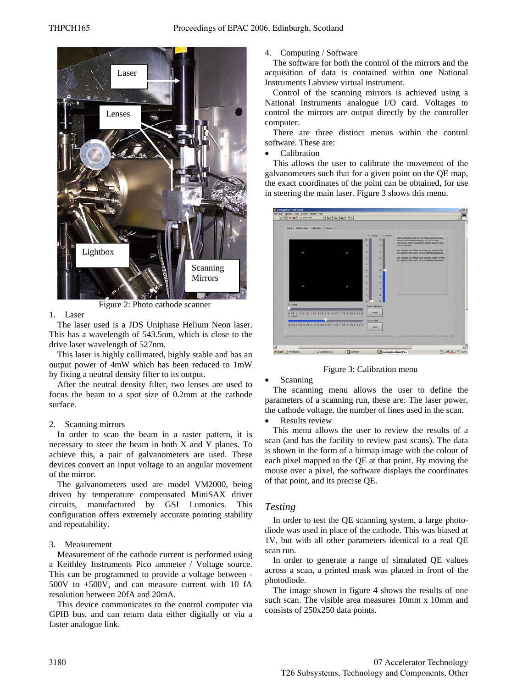

Figure 2: Photo cathode scanner

#### 1. Laser

The laser used is a JDS Uniphase Helium Neon laser. This has a wavelength of 543.5nm, which is close to the drive laser wavelength of 527nm.

This laser is highly collimated, highly stable and has an output power of 4mW which has been reduced to 1mW by fixing a neutral density filter to its output.

After the neutral density filter, two lenses are used to focus the beam to a spot size of 0.2mm at the cathode surface.

#### 2. Scanning mirrors

In order to scan the beam in a raster pattern, it is necessary to steer the beam in both X and Y planes. To achieve this, a pair of galvanometers are used. These devices convert an input voltage to an angular movement of the mirror.

The galvanometers used are model VM2000, being driven by temperature compensated MiniSAX driver circuits, manufactured by GSI Lumonics. This configuration offers extremely accurate pointing stability and repeatability.

### 3. Measurement

Measurement of the cathode current is performed using a Keithley Instruments Pico ammeter / Voltage source. This can be programmed to provide a voltage between - 500V to +500V, and can measure current with 10 fA resolution between 20fA and 20mA.

This device communicates to the control computer via GPIB bus, and can return data either digitally or via a faster analogue link.

4. Computing / Software

The software for both the control of the mirrors and the acquisition of data is contained within one National Instruments Labview virtual instrument.

Control of the scanning mirrors is achieved using a National Instruments analogue I/O card. Voltages to control the mirrors are output directly by the controller computer.

There are three distinct menus within the control software. These are:

 $\bullet$  Calibration

This allows the user to calibrate the movement of the galvanometers such that for a given point on the QE map, the exact coordinates of the point can be obtained, for use in steering the main laser. Figure 3 shows this menu.

| Situa Perform Scan Californian       | Review  |                                          |                                      |                                                                                                                                                                                                                                                                                                                                                                                                            |  |
|--------------------------------------|---------|------------------------------------------|--------------------------------------|------------------------------------------------------------------------------------------------------------------------------------------------------------------------------------------------------------------------------------------------------------------------------------------------------------------------------------------------------------------------------------------------------------|--|
|                                      |         | V-Range<br>$40 - 1$<br>蚓<br>m<br>z<br>48 | Y-Offert<br>$5 - 1$<br>٠<br>3÷<br>2ž | After setting the gain of the Ninker gelvenoterier<br>drivers to the lovest setting ( +/- 3V = 2 deg)<br>movement) there should be a pattern since to the<br>cre on the laft.<br>Set it Kange is X Offset such that the width of the<br>box eigns to the marks on the calbration graticule.<br>Set Y Range & Y Offset such that the Height of the<br>box aligns to the marks on the calibratory graticule. |  |
|                                      |         | 好<br><b>March</b><br>泪<br>62)            |                                      |                                                                                                                                                                                                                                                                                                                                                                                                            |  |
| $X - R$ ange                         |         | <b>Begin Californition</b>               |                                      |                                                                                                                                                                                                                                                                                                                                                                                                            |  |
| 8 85 1 15 2 25 3 35 4 45<br>X-Offset | 8.55668 | <b>Begin</b><br>Save call for            |                                      |                                                                                                                                                                                                                                                                                                                                                                                                            |  |
| 445445445445888135225334455          |         | Save                                     |                                      |                                                                                                                                                                                                                                                                                                                                                                                                            |  |

Figure 3: Calibration menu

### **Scanning**

The scanning menu allows the user to define the parameters of a scanning run, these are: The laser power, the cathode voltage, the number of lines used in the scan.

Results review

This menu allows the user to review the results of a scan (and has the facility to review past scans). The data is shown in the form of a bitmap image with the colour of each pixel mapped to the QE at that point. By moving the mouse over a pixel, the software displays the coordinates of that point, and its precise QE.

## *Testing*

In order to test the QE scanning system, a large photodiode was used in place of the cathode. This was biased at 1V, but with all other parameters identical to a real QE scan run.

In order to generate a range of simulated QE values across a scan, a printed mask was placed in front of the photodiode.

The image shown in figure 4 shows the results of one such scan. The visible area measures 10mm x 10mm and consists of 250x250 data points.